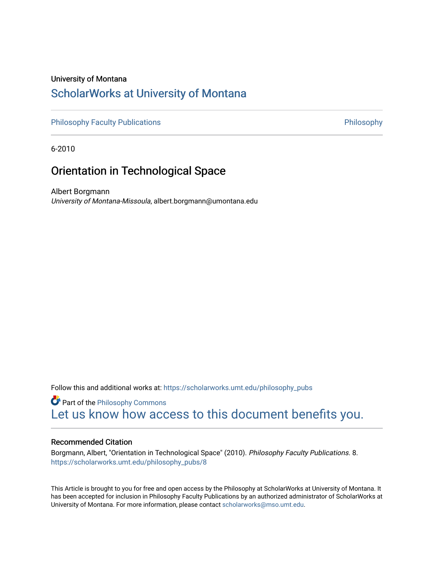#### University of Montana

## [ScholarWorks at University of Montana](https://scholarworks.umt.edu/)

[Philosophy Faculty Publications](https://scholarworks.umt.edu/philosophy_pubs) **Philosophy** Philosophy

6-2010

### Orientation in Technological Space

Albert Borgmann University of Montana-Missoula, albert.borgmann@umontana.edu

Follow this and additional works at: [https://scholarworks.umt.edu/philosophy\\_pubs](https://scholarworks.umt.edu/philosophy_pubs?utm_source=scholarworks.umt.edu%2Fphilosophy_pubs%2F8&utm_medium=PDF&utm_campaign=PDFCoverPages)

**Part of the Philosophy Commons** [Let us know how access to this document benefits you.](https://goo.gl/forms/s2rGfXOLzz71qgsB2) 

#### Recommended Citation

Borgmann, Albert, "Orientation in Technological Space" (2010). Philosophy Faculty Publications. 8. [https://scholarworks.umt.edu/philosophy\\_pubs/8](https://scholarworks.umt.edu/philosophy_pubs/8?utm_source=scholarworks.umt.edu%2Fphilosophy_pubs%2F8&utm_medium=PDF&utm_campaign=PDFCoverPages) 

This Article is brought to you for free and open access by the Philosophy at ScholarWorks at University of Montana. It has been accepted for inclusion in Philosophy Faculty Publications by an authorized administrator of ScholarWorks at University of Montana. For more information, please contact [scholarworks@mso.umt.edu.](mailto:scholarworks@mso.umt.edu)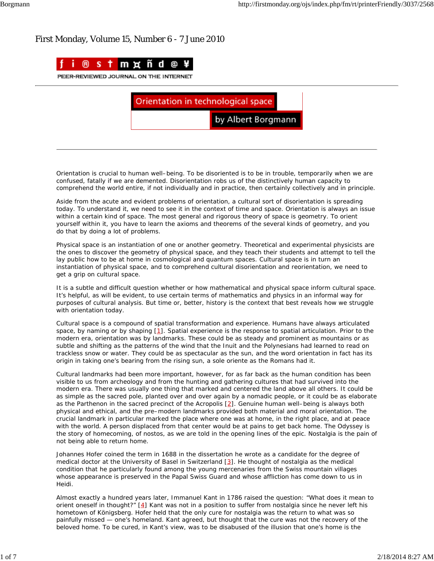

Orientation in technological space

by Albert Borgmann

Orientation is crucial to human well–being. To be disoriented is to be in trouble, temporarily when we are confused, fatally if we are demented. Disorientation robs us of the distinctively human capacity to comprehend the world entire, if not individually and in practice, then certainly collectively and in principle.

Aside from the acute and evident problems of orientation, a cultural sort of disorientation is spreading today. To understand it, we need to see it in the context of time and space. Orientation is always an issue within a certain kind of space. The most general and rigorous theory of space is geometry. To orient yourself within it, you have to learn the axioms and theorems of the several kinds of geometry, and you do that by doing a lot of problems.

Physical space is an instantiation of one or another geometry. Theoretical and experimental physicists are the ones to discover the geometry of physical space, and they teach their students and attempt to tell the lay public how to be at home in cosmological and quantum spaces. Cultural space is in turn an instantiation of physical space, and to comprehend cultural disorientation and reorientation, we need to get a grip on cultural space.

It is a subtle and difficult question whether or how mathematical and physical space inform cultural space. It's helpful, as will be evident, to use certain terms of mathematics and physics in an informal way for purposes of cultural analysis. But time or, better, history is the context that best reveals how we struggle with orientation today.

Cultural space is a compound of spatial transformation and experience. Humans have always articulated space, by naming or by shaping [1]. Spatial experience is the response to spatial articulation. Prior to the modern era, orientation was by landmarks. These could be as steady and prominent as mountains or as subtle and shifting as the patterns of the wind that the Inuit and the Polynesians had learned to read on trackless snow or water. They could be as spectacular as the sun, and the word orientation in fact has its origin in taking one's bearing from the rising sun, a *sole oriente* as the Romans had it.

Cultural landmarks had been more important, however, for as far back as the human condition has been visible to us from archeology and from the hunting and gathering cultures that had survived into the modern era. There was usually one thing that marked and centered the land above all others. It could be as simple as the sacred pole, planted over and over again by a nomadic people, or it could be as elaborate as the Parthenon in the sacred precinct of the Acropolis [2]. Genuine human well–being is always both physical and ethical, and the pre–modern landmarks provided both material and moral orientation. The crucial landmark in particular marked the place where one was at home, in the right place, and at peace with the world. A person displaced from that center would be at pains to get back home. The *Odyssey* is the story of homecoming, of *nostos*, as we are told in the opening lines of the epic. Nostalgia is the pain of not being able to return home.

Johannes Hofer coined the term in 1688 in the dissertation he wrote as a candidate for the degree of medical doctor at the University of Basel in Switzerland [3]. He thought of nostalgia as the medical condition that he particularly found among the young mercenaries from the Swiss mountain villages whose appearance is preserved in the Papal Swiss Guard and whose affliction has come down to us in *Heidi*.

Almost exactly a hundred years later, Immanuel Kant in 1786 raised the question: "What does it mean to orient oneself in thought?" [4] Kant was not in a position to suffer from nostalgia since he never left his hometown of Königsberg. Hofer held that the only cure for nostalgia was the return to what was so painfully missed — one's homeland. Kant agreed, but thought that the cure was not the recovery of the beloved home. To be cured, in Kant's view, was to be disabused of the illusion that one's home is the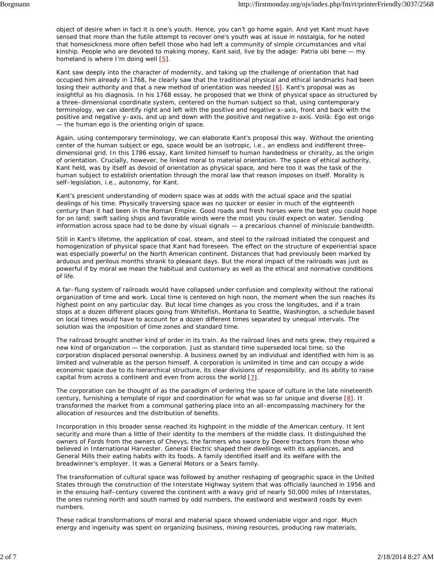object of desire when in fact it is one's youth. Hence, you can't go home again. And yet Kant must have sensed that more than the futile attempt to recover one's youth was at issue in nostalgia, for he noted that homesickness more often befell those who had left a community of simple circumstances and vital kinship. People who are devoted to making money, Kant said, live by the adage: *Patria ubi bene* — my homeland is where I'm doing well [5].

Kant saw deeply into the character of modernity, and taking up the challenge of orientation that had occupied him already in 1768, he clearly saw that the traditional physical and ethical landmarks had been losing their authority and that a new method of orientation was needed  $[6]$ . Kant's proposal was as insightful as his diagnosis. In his 1768 essay, he proposed that we think of physical space as structured by a three–dimensional coordinate system, centered on the human subject so that, using contemporary terminology, we can identify right and left with the positive and negative x–axis, front and back with the positive and negative y–axis, and up and down with the positive and negative z–axis. *Voilà: Ego est origo* — the human ego is the orienting origin of space.

Again, using contemporary terminology, we can elaborate Kant's proposal this way. Without the orienting center of the human subject or ego, space would be an isotropic, *i.e.*, an endless and indifferent three– dimensional grid. In this 1786 essay, Kant limited himself to human handedness or chirality, as the origin of orientation. Crucially, however, he linked moral to material orientation. The space of ethical authority, Kant held, was by itself as devoid of orientation as physical space, and here too it was the task of the human subject to establish orientation through the moral law that reason imposes on itself. Morality is self–legislation, *i.e.*, autonomy, for Kant.

Kant's prescient understanding of modern space was at odds with the actual space and the spatial dealings of his time. Physically traversing space was no quicker or easier in much of the eighteenth century than it had been in the Roman Empire. Good roads and fresh horses were the best you could hope for on land; swift sailing ships and favorable winds were the most you could expect on water. Sending information across space had to be done by visual signals — a precarious channel of miniscule bandwidth.

Still in Kant's lifetime, the application of coal, steam, and steel to the railroad initiated the conquest and homogenization of physical space that Kant had foreseen. The effect on the structure of experiential space was especially powerful on the North American continent. Distances that had previously been marked by arduous and perilous months shrank to pleasant days. But the moral impact of the railroads was just as powerful if by moral we mean the habitual and customary as well as the ethical and normative conditions of life.

A far–flung system of railroads would have collapsed under confusion and complexity without the rational organization of time and work. Local time is centered on high noon, the moment when the sun reaches its highest point on any particular day. But local time changes as you cross the longitudes, and if a train stops at a dozen different places going from Whitefish, Montana to Seattle, Washington, a schedule based on local times would have to account for a dozen different times separated by unequal intervals. The solution was the imposition of time zones and standard time.

The railroad brought another kind of order in its train. As the railroad lines and nets grew, they required a new kind of organization — the corporation. Just as standard time superseded local time, so the corporation displaced personal ownership. A business owned by an individual and identified with him is as limited and vulnerable as the person himself. A corporation is unlimited in time and can occupy a wide economic space due to its hierarchical structure, its clear divisions of responsibility, and its ability to raise capital from across a continent and even from across the world  $[7]$ .

The corporation can be thought of as the paradigm of ordering the space of culture in the late nineteenth century, furnishing a template of rigor and coordination for what was so far unique and diverse  $[8]$ . It transformed the market from a communal gathering place into an all–encompassing machinery for the allocation of resources and the distribution of benefits.

Incorporation in this broader sense reached its highpoint in the middle of the American century. It lent security and more than a little of their identity to the members of the middle class. It distinguished the owners of Fords from the owners of Chevys, the farmers who swore by Deere tractors from those who believed in International Harvester. General Electric shaped their dwellings with its appliances, and General Mills their eating habits with its foods. A family identified itself and its welfare with the breadwinner's employer. It was a General Motors or a Sears family.

The transformation of cultural space was followed by another reshaping of geographic space in the United States through the construction of the Interstate Highway system that was officially launched in 1956 and in the ensuing half–century covered the continent with a wavy grid of nearly 50,000 miles of Interstates, the ones running north and south named by odd numbers, the eastward and westward roads by even numbers.

These radical transformations of moral and material space showed undeniable vigor and rigor. Much energy and ingenuity was spent on organizing business, mining resources, producing raw materials,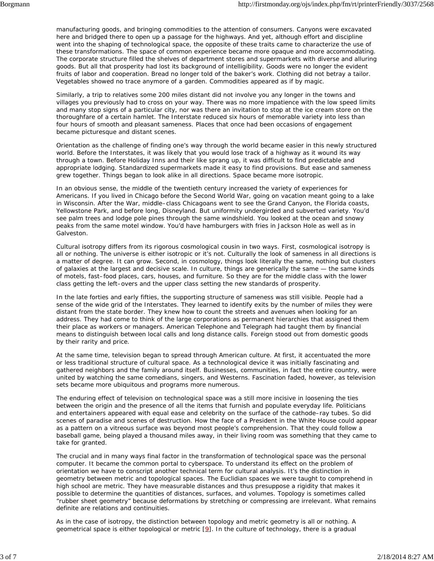manufacturing goods, and bringing commodities to the attention of consumers. Canyons were excavated here and bridged there to open up a passage for the highways. And yet, although effort and discipline went into the shaping of technological space, the opposite of these traits came to characterize the use of these transformations. The space of common experience became more opaque and more accommodating. The corporate structure filled the shelves of department stores and supermarkets with diverse and alluring goods. But all that prosperity had lost its background of intelligibility. Goods were no longer the evident fruits of labor and cooperation. Bread no longer told of the baker's work. Clothing did not betray a tailor. Vegetables showed no trace anymore of a garden. Commodities appeared as if by magic.

Similarly, a trip to relatives some 200 miles distant did not involve you any longer in the towns and villages you previously had to cross on your way. There was no more impatience with the low speed limits and many stop signs of a particular city, nor was there an invitation to stop at the ice cream store on the thoroughfare of a certain hamlet. The Interstate reduced six hours of memorable variety into less than four hours of smooth and pleasant sameness. Places that once had been occasions of engagement became picturesque and distant scenes.

Orientation as the challenge of finding one's way through the world became easier in this newly structured world. Before the Interstates, it was likely that you would lose track of a highway as it wound its way through a town. Before Holiday Inns and their like sprang up, it was difficult to find predictable and appropriate lodging. Standardized supermarkets made it easy to find provisions. But ease and sameness grew together. Things began to look alike in all directions. Space became more isotropic.

In an obvious sense, the middle of the twentieth century increased the variety of experiences for Americans. If you lived in Chicago before the Second World War, going on vacation meant going to a lake in Wisconsin. After the War, middle–class Chicagoans went to see the Grand Canyon, the Florida coasts, Yellowstone Park, and before long, Disneyland. But uniformity undergirded and subverted variety. You'd see palm trees and lodge pole pines through the same windshield. You looked at the ocean and snowy peaks from the same motel window. You'd have hamburgers with fries in Jackson Hole as well as in Galveston.

Cultural isotropy differs from its rigorous cosmological cousin in two ways. First, cosmological isotropy is all or nothing. The universe is either isotropic or it's not. Culturally the look of sameness in all directions is a matter of degree. It can grow. Second, in cosmology, things look *literally* the same, nothing but clusters of galaxies at the largest and decisive scale. In culture, things are *generically* the same — the same kinds of motels, fast–food places, cars, houses, and furniture. So they are for the middle class with the lower class getting the left–overs and the upper class setting the new standards of prosperity.

In the late forties and early fifties, the supporting structure of sameness was still visible. People had a sense of the wide grid of the Interstates. They learned to identify exits by the number of miles they were distant from the state border. They knew how to count the streets and avenues when looking for an address. They had come to think of the large corporations as permanent hierarchies that assigned them their place as workers or managers. American Telephone and Telegraph had taught them by financial means to distinguish between local calls and long distance calls. Foreign stood out from domestic goods by their rarity and price.

At the same time, television began to spread through American culture. At first, it accentuated the more or less traditional structure of cultural space. As a technological device it was initially fascinating and gathered neighbors and the family around itself. Businesses, communities, in fact the entire country, were united by watching the same comedians, singers, and Westerns. Fascination faded, however, as television sets became more ubiquitous and programs more numerous.

The enduring effect of television on technological space was a still more incisive in loosening the ties between the origin and the presence of all the items that furnish and populate everyday life. Politicians and entertainers appeared with equal ease and celebrity on the surface of the cathode–ray tubes. So did scenes of paradise and scenes of destruction. How the face of a President in the White House could appear as a pattern on a vitreous surface was beyond most people's comprehension. That they could follow a baseball game, being played a thousand miles away, in their living room was something that they came to take for granted.

The crucial and in many ways final factor in the transformation of technological space was the personal computer. It became the common portal to cyberspace. To understand its effect on the problem of orientation we have to conscript another technical term for cultural analysis. It's the distinction in geometry between metric and topological spaces. The Euclidian spaces we were taught to comprehend in high school are metric. They have measurable distances and thus presuppose a rigidity that makes it possible to determine the quantities of distances, surfaces, and volumes. Topology is sometimes called "rubber sheet geometry" because deformations by stretching or compressing are irrelevant. What remains definite are relations and continuities.

As in the case of isotropy, the distinction between topology and metric geometry is all or nothing. A geometrical space is either topological or metric [9]. In the culture of technology, there is a gradual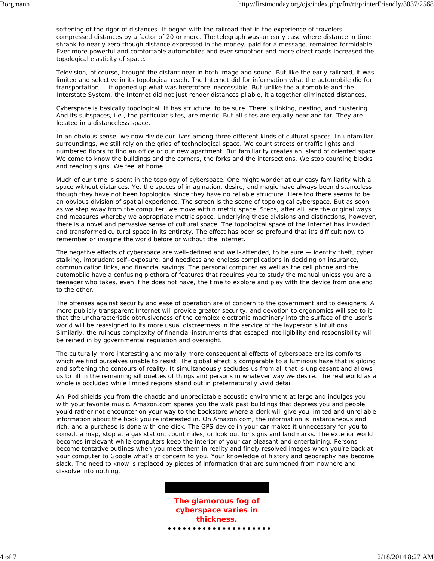softening of the rigor of distances. It began with the railroad that in the experience of travelers compressed distances by a factor of 20 or more. The telegraph was an early case where distance in time shrank to nearly zero though distance expressed in the money, paid for a message, remained formidable. Ever more powerful and comfortable automobiles and ever smoother and more direct roads increased the topological elasticity of space.

Television, of course, brought the distant near in both image and sound. But like the early railroad, it was limited and selective in its topological reach. The Internet did for information what the automobile did for transportation — it opened up what was heretofore inaccessible. But unlike the automobile and the Interstate System, the Internet did not just render distances pliable, it altogether eliminated distances.

Cyberspace is basically topological. It has structure, to be sure. There is linking, nesting, and clustering. And its subspaces, *i.e.*, the particular sites, are metric. But all sites are equally near and far. They are located in a distanceless space.

In an obvious sense, we now divide our lives among three different kinds of cultural spaces. In unfamiliar surroundings, we still rely on the grids of technological space. We count streets or traffic lights and numbered floors to find an office or our new apartment. But familiarity creates an island of oriented space. We come to know the buildings and the corners, the forks and the intersections. We stop counting blocks and reading signs. We feel at home.

Much of our time is spent in the topology of cyberspace. One might wonder at our easy familiarity with a space without distances. Yet the spaces of imagination, desire, and magic have always been distanceless though they have not been topological since they have no reliable structure. Here too there seems to be an obvious division of spatial experience. The screen is the scene of topological cyberspace. But as soon as we step away from the computer, we move within metric space. Steps, after all, are the original ways and measures whereby we appropriate metric space. Underlying these divisions and distinctions, however, there is a novel and pervasive sense of cultural space. The topological space of the Internet has invaded and transformed cultural space in its entirety. The effect has been so profound that it's difficult now to remember or imagine the world before or without the Internet.

The negative effects of cyberspace are well–defined and well–attended, to be sure — identity theft, cyber stalking, imprudent self–exposure, and needless and endless complications in deciding on insurance, communication links, and financial savings. The personal computer as well as the cell phone and the automobile have a confusing plethora of features that requires you to study the manual unless you are a teenager who takes, even if he does not have, the time to explore and play with the device from one end to the other.

The offenses against security and ease of operation are of concern to the government and to designers. A more publicly transparent Internet will provide greater security, and devotion to ergonomics will see to it that the uncharacteristic obtrusiveness of the complex electronic machinery into the surface of the user's world will be reassigned to its more usual discreetness in the service of the layperson's intuitions. Similarly, the ruinous complexity of financial instruments that escaped intelligibility and responsibility will be reined in by governmental regulation and oversight.

The culturally more interesting and morally more consequential effects of cyberspace are its comforts which we find ourselves unable to resist. The global effect is comparable to a luminous haze that is gilding and softening the contours of reality. It simultaneously secludes us from all that is unpleasant and allows us to fill in the remaining silhouettes of things and persons in whatever way we desire. The real world as a whole is occluded while limited regions stand out in preternaturally vivid detail.

An iPod shields you from the chaotic and unpredictable acoustic environment at large and indulges you with your favorite music. Amazon.com spares you the walk past buildings that depress you and people you'd rather not encounter on your way to the bookstore where a clerk will give you limited and unreliable information about the book you're interested in. On Amazon.com, the information is instantaneous and rich, and a purchase is done with one click. The GPS device in your car makes it unnecessary for you to consult a map, stop at a gas station, count miles, or look out for signs and landmarks. The exterior world becomes irrelevant while computers keep the interior of your car pleasant and entertaining. Persons become tentative outlines when you meet them in reality and finely resolved images when you're back at your computer to Google what's of concern to you. Your knowledge of history and geography has become slack. The need to know is replaced by pieces of information that are summoned from nowhere and dissolve into nothing.

> **The glamorous fog of cyberspace varies in thickness.**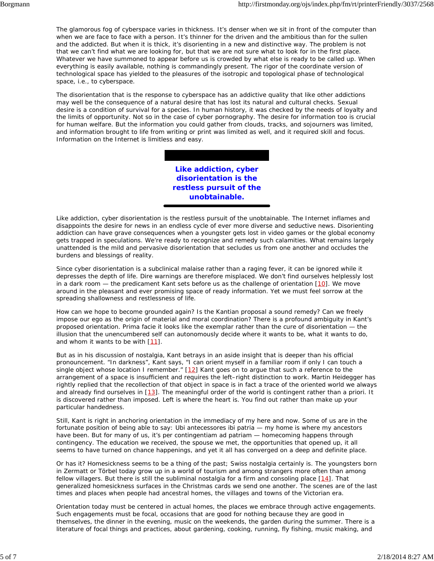The glamorous fog of cyberspace varies in thickness. It's denser when we sit in front of the computer than when we are face to face with a person. It's thinner for the driven and the ambitious than for the sullen and the addicted. But when it is thick, it's disorienting in a new and distinctive way. The problem is not that we can't find what we are looking for, but that we are not sure what to look for in the first place. Whatever we have summoned to appear before us is crowded by what else is ready to be called up. When everything is easily available, nothing is commandingly present. The rigor of the coordinate version of technological space has yielded to the pleasures of the isotropic and topological phase of technological space, *i.e.*, to cyberspace.

The disorientation that is the response to cyberspace has an addictive quality that like other addictions may well be the consequence of a natural desire that has lost its natural and cultural checks. Sexual desire is a condition of survival for a species. In human history, it was checked by the needs of loyalty and the limits of opportunity. Not so in the case of cyber pornography. The desire for information too is crucial for human welfare. But the information you could gather from clouds, tracks, and sojourners was limited, and information brought to life from writing or print was limited as well, and it required skill and focus. Information on the Internet is limitless and easy.

> **Like addiction, cyber disorientation is the restless pursuit of the unobtainable.**

Like addiction, cyber disorientation is the restless pursuit of the unobtainable. The Internet inflames and disappoints the desire for news in an endless cycle of ever more diverse and seductive news. Disorienting addiction can have grave consequences when a youngster gets lost in video games or the global economy gets trapped in speculations. We're ready to recognize and remedy such calamities. What remains largely unattended is the mild and pervasive disorientation that secludes us from one another and occludes the burdens and blessings of reality.

Since cyber disorientation is a subclinical malaise rather than a raging fever, it can be ignored while it depresses the depth of life. Dire warnings are therefore misplaced. We don't find ourselves helplessly lost in a dark room  $-$  the predicament Kant sets before us as the challenge of orientation  $[10]$ . We move around in the pleasant and ever promising space of ready information. Yet we must feel sorrow at the spreading shallowness and restlessness of life.

How can we hope to become grounded again? Is the Kantian proposal a sound remedy? Can we freely impose our ego as the origin of material and moral coordination? There is a profound ambiguity in Kant's proposed orientation. *Prima facie* it looks like the exemplar rather than the cure of disorientation — the illusion that the unencumbered self can autonomously decide where it wants to be, what it wants to do, and whom it wants to be with [11].

But as in his discussion of nostalgia, Kant betrays in an aside insight that is deeper than his official pronouncement. "In darkness", Kant says, "I can orient myself in a familiar room if only I can touch a single object whose location I remember."  $[12]$  Kant goes on to argue that such a reference to the arrangement of a space is insufficient and requires the left–right distinction to work. Martin Heidegger has rightly replied that the recollection of that object in space is in fact a trace of the oriented world we always and already find ourselves in [13]. The meaningful order of the world is contingent rather than *a priori*. It is discovered rather than imposed. Left is where the heart is. You find out rather than make up your particular handedness.

Still, Kant is right in anchoring orientation in the immediacy of my here and now. Some of us are in the fortunate position of being able to say: *Ubi antecessores ibi patria* — my home is where my ancestors have been. But for many of us, it's *per contingentiam ad patriam* — homecoming happens through contingency. The education we received, the spouse we met, the opportunities that opened up, it all seems to have turned on chance happenings, and yet it all has converged on a deep and definite place.

Or has it? Homesickness seems to be a thing of the past; Swiss nostalgia certainly is. The youngsters born in Zermatt or Törbel today grow up in a world of tourism and among strangers more often than among fellow villagers. But there is still the subliminal nostalgia for a firm and consoling place  $[14]$ . That generalized homesickness surfaces in the Christmas cards we send one another. The scenes are of the last times and places when people had ancestral homes, the villages and towns of the Victorian era.

Orientation today must be centered in actual homes, the places we embrace through active engagements. Such engagements must be focal, occasions that are good for nothing because they are good in themselves, the dinner in the evening, music on the weekends, the garden during the summer. There is a literature of focal things and practices, about gardening, cooking, running, fly fishing, music making, and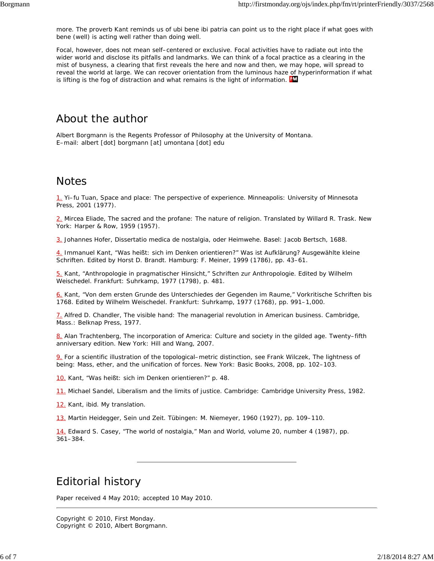more. The proverb Kant reminds us of *ubi bene ibi patria* can point us to the right place if what goes with *bene* (well) is *acting* well rather than *doing* well.

Focal, however, does not mean self–centered or exclusive. Focal activities have to radiate out into the wider world and disclose its pitfalls and landmarks. We can think of a focal practice as a clearing in the mist of busyness, a clearing that first reveals the here and now and then, we may hope, will spread to reveal the world at large. We can recover orientation from the luminous haze of hyperinformation if what is lifting is the fog of distraction and what remains is the light of information. **HA** 

## About the author

Albert Borgmann is the Regents Professor of Philosophy at the University of Montana. E–mail: albert [dot] borgmann [at] umontana [dot] edu

### **Notes**

1. Yi–fu Tuan, *Space and place: The perspective of experience*. Minneapolis: University of Minnesota Press, 2001 (1977).

2. Mircea Eliade, *The sacred and the profane: The nature of religion*. Translated by Willard R. Trask. New York: Harper & Row, 1959 (1957).

3. Johannes Hofer, *Dissertatio medica de nostalgia, oder Heimwehe*. Basel: Jacob Bertsch, 1688.

4. Immanuel Kant, "Was heißt: sich im Denken orientieren?" *Was ist Aufklärung? Ausgewählte kleine Schriften*. Edited by Horst D. Brandt. Hamburg: F. Meiner, 1999 (1786), pp. 43–61.

5. Kant, "Anthropologie in pragmatischer Hinsicht," *Schriften zur Anthropologie*. Edited by Wilhelm Weischedel. Frankfurt: Suhrkamp, 1977 (1798), p. 481.

6. Kant, "Von dem ersten Grunde des Unterschiedes der Gegenden im Raume," *Vorkritische Schriften bis 1768*. Edited by Wilhelm Weischedel. Frankfurt: Suhrkamp, 1977 (1768), pp. 991–1,000.

7. Alfred D. Chandler, *The visible hand: The managerial revolution in American business*. Cambridge, Mass.: Belknap Press, 1977.

8. Alan Trachtenberg, *The incorporation of America: Culture and society in the gilded age*. Twenty–fifth anniversary edition. New York: Hill and Wang, 2007.

9. For a scientific illustration of the topological–metric distinction, see Frank Wilczek, *The lightness of being: Mass, ether, and the unification of forces*. New York: Basic Books, 2008, pp. 102–103.

10. Kant, "Was heißt: sich im Denken orientieren?" p. 48.

11. Michael Sandel, *Liberalism and the limits of justice*. Cambridge: Cambridge University Press, 1982.

12. Kant, *ibid*. My translation.

13. Martin Heidegger, *Sein und Zeit*. Tübingen: M. Niemeyer, 1960 (1927), pp. 109–110.

14. Edward S. Casey, "The world of nostalgia," *Man and World*, volume 20, number 4 (1987), pp. 361–384.

# Editorial history

Paper received 4 May 2010; accepted 10 May 2010.